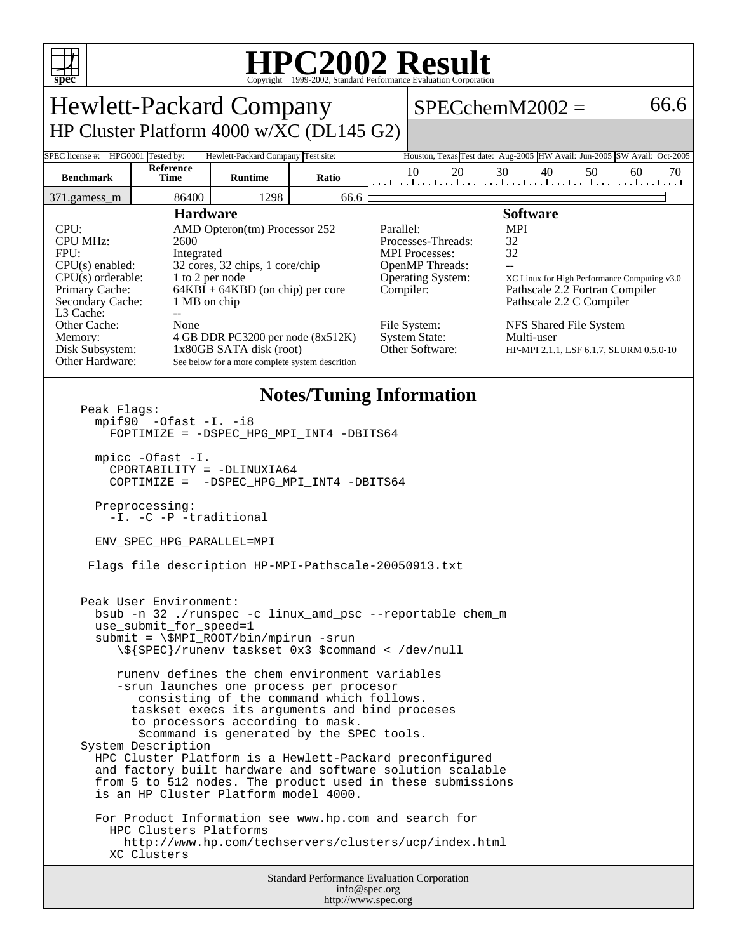

## **HPC2002 Result**

| <b>Hewlett-Packard Company</b>                                                                                                                                                                                                                                                                                                                                                                                                                                                                                                                                                                                                                                                                                                                                                                                                                                                                                                                                                                                                                                                                                                                                                                                                                         |                   |                                                                                                                                                                                                                                                              |       |                        |                                                                                                                                                                                                                                                                                                                                                                                                                   | $SPECchemM2002 =$                                                                     | 66.6     |
|--------------------------------------------------------------------------------------------------------------------------------------------------------------------------------------------------------------------------------------------------------------------------------------------------------------------------------------------------------------------------------------------------------------------------------------------------------------------------------------------------------------------------------------------------------------------------------------------------------------------------------------------------------------------------------------------------------------------------------------------------------------------------------------------------------------------------------------------------------------------------------------------------------------------------------------------------------------------------------------------------------------------------------------------------------------------------------------------------------------------------------------------------------------------------------------------------------------------------------------------------------|-------------------|--------------------------------------------------------------------------------------------------------------------------------------------------------------------------------------------------------------------------------------------------------------|-------|------------------------|-------------------------------------------------------------------------------------------------------------------------------------------------------------------------------------------------------------------------------------------------------------------------------------------------------------------------------------------------------------------------------------------------------------------|---------------------------------------------------------------------------------------|----------|
| HP Cluster Platform 4000 w/XC (DL145 G2)                                                                                                                                                                                                                                                                                                                                                                                                                                                                                                                                                                                                                                                                                                                                                                                                                                                                                                                                                                                                                                                                                                                                                                                                               |                   |                                                                                                                                                                                                                                                              |       |                        |                                                                                                                                                                                                                                                                                                                                                                                                                   |                                                                                       |          |
| SPEC license #:<br>HPG0001 Tested by:<br>Hewlett-Packard Company Test site:<br>Houston, Texas Test date: Aug-2005 HW Avail: Jun-2005 SW Avail: Oct-2005                                                                                                                                                                                                                                                                                                                                                                                                                                                                                                                                                                                                                                                                                                                                                                                                                                                                                                                                                                                                                                                                                                |                   |                                                                                                                                                                                                                                                              |       |                        |                                                                                                                                                                                                                                                                                                                                                                                                                   |                                                                                       |          |
| <b>Benchmark</b>                                                                                                                                                                                                                                                                                                                                                                                                                                                                                                                                                                                                                                                                                                                                                                                                                                                                                                                                                                                                                                                                                                                                                                                                                                       | Reference<br>Time | <b>Runtime</b>                                                                                                                                                                                                                                               | Ratio |                        | 20<br>10                                                                                                                                                                                                                                                                                                                                                                                                          | 30<br>40<br>50<br>المتحاجين المتحاجين المتحاجين المتحاجين المتحاجين المتحاجين المتحال | 60<br>70 |
| 371.gamess_m                                                                                                                                                                                                                                                                                                                                                                                                                                                                                                                                                                                                                                                                                                                                                                                                                                                                                                                                                                                                                                                                                                                                                                                                                                           | 86400             | 1298                                                                                                                                                                                                                                                         | 66.6  |                        |                                                                                                                                                                                                                                                                                                                                                                                                                   |                                                                                       |          |
| <b>Hardware</b><br>CPU:<br><b>CPU MHz:</b><br>2600<br>FPU:<br>Integrated<br>CPU(s) enabled:<br>$CPU(s)$ orderable:<br>Primary Cache:<br>Secondary Cache:<br>L3 Cache:<br>$\overline{a}$<br>Other Cache:<br>None<br>Memory:<br>Disk Subsystem:<br>Other Hardware:                                                                                                                                                                                                                                                                                                                                                                                                                                                                                                                                                                                                                                                                                                                                                                                                                                                                                                                                                                                       |                   | AMD Opteron(tm) Processor 252<br>32 cores, 32 chips, 1 core/chip<br>1 to 2 per node<br>$64KBI + 64KBD$ (on chip) per core<br>1 MB on chip<br>4 GB DDR PC3200 per node (8x512K)<br>1x80GB SATA disk (root)<br>See below for a more complete system descrition |       | Parallel:<br>Compiler: | <b>Software</b><br><b>MPI</b><br>32<br>Processes-Threads:<br>32<br><b>MPI</b> Processes:<br><b>OpenMP</b> Threads:<br>$-$<br><b>Operating System:</b><br>XC Linux for High Performance Computing v3.0<br>Pathscale 2.2 Fortran Compiler<br>Pathscale 2.2 C Compiler<br>File System:<br>NFS Shared File System<br><b>System State:</b><br>Multi-user<br>Other Software:<br>HP-MPI 2.1.1, LSF 6.1.7, SLURM 0.5.0-10 |                                                                                       |          |
| <b>Notes/Tuning Information</b><br>Peak Flags:<br>$mpif90 -0fast -I. -i8$<br>FOPTIMIZE = - DSPEC_HPG_MPI_INT4 -DBITS64<br>$mpirc$ -Ofast $-I$ .<br>CPORTABILITY = -DLINUXIA64<br>COPTIMIZE = - DSPEC_HPG_MPI_INT4 -DBITS64<br>Preprocessing:<br>-I. -C -P -traditional<br>ENV_SPEC_HPG_PARALLEL=MPI<br>Flags file description HP-MPI-Pathscale-20050913.txt<br>Peak User Environment:<br>bsub -n 32./runspec -c linux_amd_psc --reportable chem_m<br>use_submit_for_speed=1<br>$submit = \SMPI_ROOT/bin/mpirun -srun$<br>\\${SPEC}/runenv taskset 0x3 \$command < /dev/null<br>runeny defines the chem environment variables<br>-srun launches one process per procesor<br>consisting of the command which follows.<br>taskset execs its arguments and bind proceses<br>to processors according to mask.<br>\$command is generated by the SPEC tools.<br>System Description<br>HPC Cluster Platform is a Hewlett-Packard preconfigured<br>and factory built hardware and software solution scalable<br>from 5 to 512 nodes. The product used in these submissions<br>is an HP Cluster Platform model 4000.<br>For Product Information see www.hp.com and search for<br>HPC Clusters Platforms<br>http://www.hp.com/techservers/clusters/ucp/index.html |                   |                                                                                                                                                                                                                                                              |       |                        |                                                                                                                                                                                                                                                                                                                                                                                                                   |                                                                                       |          |
| Standard Performance Evaluation Corporation<br>info@spec.org                                                                                                                                                                                                                                                                                                                                                                                                                                                                                                                                                                                                                                                                                                                                                                                                                                                                                                                                                                                                                                                                                                                                                                                           |                   |                                                                                                                                                                                                                                                              |       |                        |                                                                                                                                                                                                                                                                                                                                                                                                                   |                                                                                       |          |

http://www.spec.org